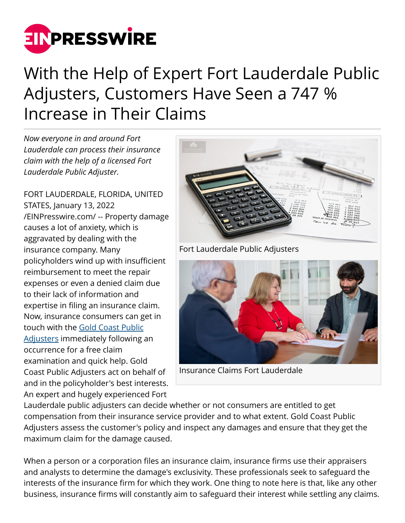

## With the Help of Expert Fort Lauderdale Public Adjusters, Customers Have Seen a 747 % Increase in Their Claims

*Now everyone in and around Fort Lauderdale can process their insurance claim with the help of a licensed Fort Lauderdale Public Adjuster.*

FORT LAUDERDALE, FLORIDA, UNITED STATES, January 13, 2022 [/EINPresswire.com/](http://www.einpresswire.com) -- Property damage causes a lot of anxiety, which is aggravated by dealing with the insurance company. Many policyholders wind up with insufficient reimbursement to meet the repair expenses or even a denied claim due to their lack of information and expertise in filing an insurance claim. Now, insurance consumers can get in touch with the [Gold Coast Public](https://www.google.com/maps?cid=17761303232011611919) [Adjusters](https://www.google.com/maps?cid=17761303232011611919) immediately following an occurrence for a free claim examination and quick help. Gold Coast Public Adjusters act on behalf of and in the policyholder's best interests. An expert and hugely experienced Fort





Insurance Claims Fort Lauderdale

Lauderdale public adjusters can decide whether or not consumers are entitled to get compensation from their insurance service provider and to what extent. Gold Coast Public Adjusters assess the customer's policy and inspect any damages and ensure that they get the maximum claim for the damage caused.

When a person or a corporation files an insurance claim, insurance firms use their appraisers and analysts to determine the damage's exclusivity. These professionals seek to safeguard the interests of the insurance firm for which they work. One thing to note here is that, like any other business, insurance firms will constantly aim to safeguard their interest while settling any claims.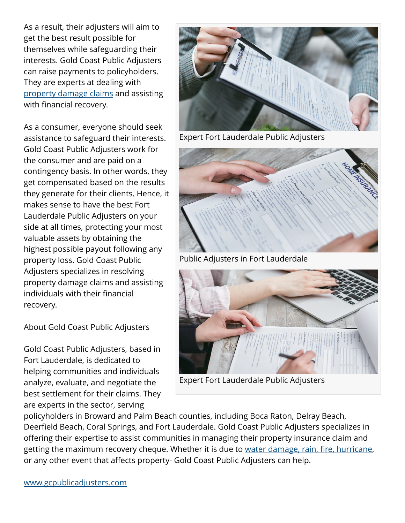As a result, their adjusters will aim to get the best result possible for themselves while safeguarding their interests. Gold Coast Public Adjusters can raise payments to policyholders. They are experts at dealing with [property damage claims](https://gcpublicadjusters.com/claims/) and assisting with financial recovery.

As a consumer, everyone should seek assistance to safeguard their interests. Gold Coast Public Adjusters work for the consumer and are paid on a contingency basis. In other words, they get compensated based on the results they generate for their clients. Hence, it makes sense to have the best Fort Lauderdale Public Adjusters on your side at all times, protecting your most valuable assets by obtaining the highest possible payout following any property loss. Gold Coast Public Adjusters specializes in resolving property damage claims and assisting individuals with their financial recovery.

About Gold Coast Public Adjusters

Gold Coast Public Adjusters, based in Fort Lauderdale, is dedicated to helping communities and individuals analyze, evaluate, and negotiate the best settlement for their claims. They are experts in the sector, serving



Expert Fort Lauderdale Public Adjusters



Public Adjusters in Fort Lauderdale



Expert Fort Lauderdale Public Adjusters

policyholders in Broward and Palm Beach counties, including Boca Raton, Delray Beach, Deerfield Beach, Coral Springs, and Fort Lauderdale. Gold Coast Public Adjusters specializes in offering their expertise to assist communities in managing their property insurance claim and getting the maximum recovery cheque. Whether it is due to [water damage, rain, fire, hurricane,](https://gcpublicadjusters.com/claims/water-damage-fort-lauderdale/) or any other event that affects property- Gold Coast Public Adjusters can help.